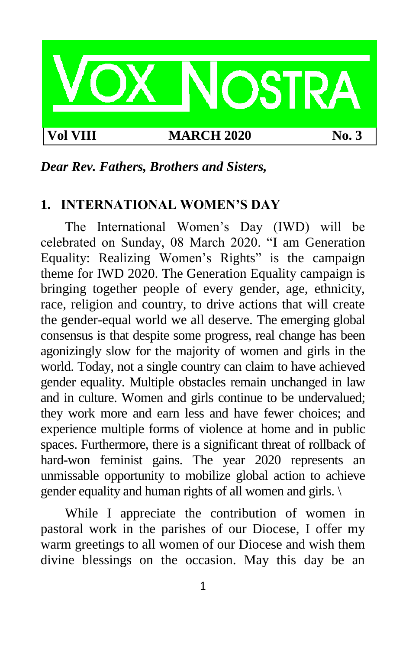

### *Dear Rev. Fathers, Brothers and Sisters,*

### **1. INTERNATIONAL WOMEN'S DAY**

The International Women's Day (IWD) will be celebrated on Sunday, 08 March 2020. "I am Generation Equality: Realizing Women's Rights" is the campaign theme for IWD 2020. The Generation Equality campaign is bringing together people of every gender, age, ethnicity, race, religion and country, to drive actions that will create the gender-equal world we all deserve. The emerging global consensus is that despite some progress, real change has been agonizingly slow for the majority of women and girls in the world. Today, not a single country can claim to have achieved gender equality. Multiple obstacles remain unchanged in law and in culture. Women and girls continue to be undervalued; they work more and earn less and have fewer choices; and experience multiple forms of violence at home and in public spaces. Furthermore, there is a significant threat of rollback of hard-won feminist gains. The year 2020 represents an unmissable opportunity to mobilize global action to achieve gender equality and human rights of all women and girls. \

While I appreciate the contribution of women in pastoral work in the parishes of our Diocese, I offer my warm greetings to all women of our Diocese and wish them divine blessings on the occasion. May this day be an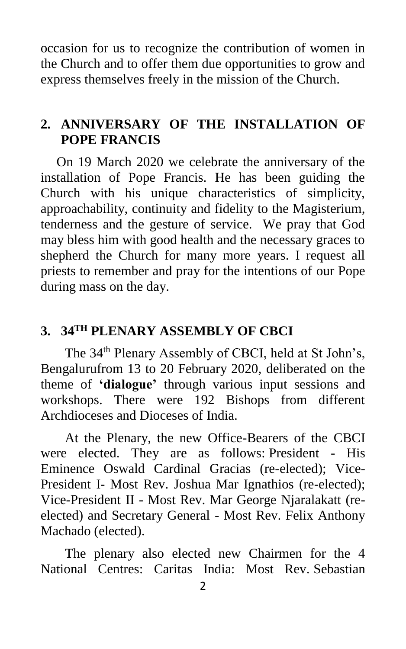occasion for us to recognize the contribution of women in the Church and to offer them due opportunities to grow and express themselves freely in the mission of the Church.

# **2. ANNIVERSARY OF THE INSTALLATION OF POPE FRANCIS**

On 19 March 2020 we celebrate the anniversary of the installation of Pope Francis. He has been guiding the Church with his unique characteristics of simplicity, approachability, continuity and fidelity to the Magisterium, tenderness and the gesture of service. We pray that God may bless him with good health and the necessary graces to shepherd the Church for many more years. I request all priests to remember and pray for the intentions of our Pope during mass on the day.

# **3. 34TH PLENARY ASSEMBLY OF CBCI**

The 34<sup>th</sup> Plenary Assembly of CBCI, held at St John's, Bengalurufrom 13 to 20 February 2020, deliberated on the theme of **'dialogue'** through various input sessions and workshops. There were 192 Bishops from different Archdioceses and Dioceses of India.

At the Plenary, the new Office-Bearers of the CBCI were elected. They are as follows: President - His Eminence Oswald Cardinal Gracias (re-elected); Vice-President I- Most Rev. Joshua Mar Ignathios (re-elected); Vice-President II - Most Rev. Mar George Njaralakatt (reelected) and Secretary General - Most Rev. Felix Anthony Machado (elected).

The plenary also elected new Chairmen for the 4 National Centres: Caritas India: Most Rev. Sebastian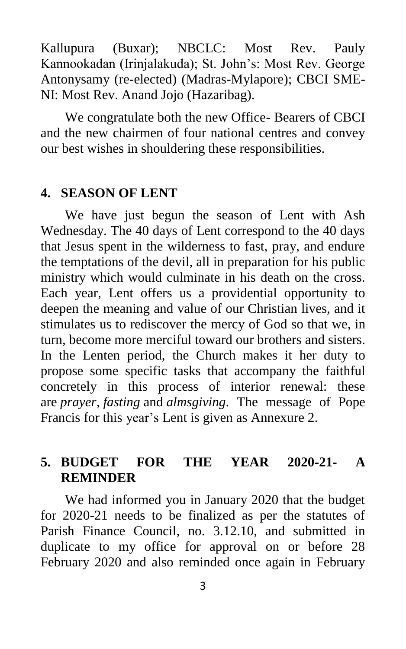Kallupura (Buxar); NBCLC: Most Rev. Pauly Kannookadan (Irinjalakuda); St. John's: Most Rev. George Antonysamy (re-elected) (Madras-Mylapore); CBCI SME-NI: Most Rev. Anand Jojo (Hazaribag).

We congratulate both the new Office- Bearers of CBCI and the new chairmen of four national centres and convey our best wishes in shouldering these responsibilities.

## **4. SEASON OF LENT**

We have just begun the season of Lent with Ash Wednesday. The 40 days of Lent correspond to the 40 days that Jesus spent in the wilderness to fast, pray, and endure the temptations of the devil, all in preparation for his public ministry which would culminate in his death on the cross. Each year, Lent offers us a providential opportunity to deepen the meaning and value of our Christian lives, and it stimulates us to rediscover the mercy of God so that we, in turn, become more merciful toward our brothers and sisters. In the Lenten period, the Church makes it her duty to propose some specific tasks that accompany the faithful concretely in this process of interior renewal: these are *prayer*, *fasting* and *almsgiving*. The message of Pope Francis for this year's Lent is given as Annexure 2.

# **5. BUDGET FOR THE YEAR 2020-21- A REMINDER**

We had informed you in January 2020 that the budget for 2020-21 needs to be finalized as per the statutes of Parish Finance Council, no. 3.12.10, and submitted in duplicate to my office for approval on or before 28 February 2020 and also reminded once again in February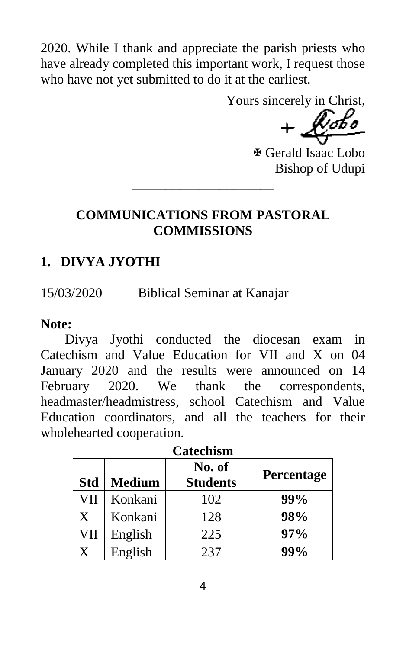2020. While I thank and appreciate the parish priests who have already completed this important work, I request those who have not yet submitted to do it at the earliest.

Yours sincerely in Christ,

 Gerald Isaac Lobo Bishop of Udupi

## **COMMUNICATIONS FROM PASTORAL COMMISSIONS**

\_\_\_\_\_\_\_\_\_\_\_\_\_\_\_\_\_\_\_\_\_

# **1. DIVYA JYOTHI**

15/03/2020 Biblical Seminar at Kanajar

## **Note:**

Divya Jyothi conducted the diocesan exam in Catechism and Value Education for VII and X on 04 January 2020 and the results were announced on 14 February 2020. We thank the correspondents, headmaster/headmistress, school Catechism and Value Education coordinators, and all the teachers for their wholehearted cooperation.

| <b>Catechism</b> |               |                           |            |  |  |
|------------------|---------------|---------------------------|------------|--|--|
| <b>Std</b>       | <b>Medium</b> | No. of<br><b>Students</b> | Percentage |  |  |
| VII              | Konkani       | 102                       | 99%        |  |  |
| Χ                | Konkani       | 128                       | 98%        |  |  |
| VII              | English       | 225                       | 97%        |  |  |
| X                | English       | 237                       | 99%        |  |  |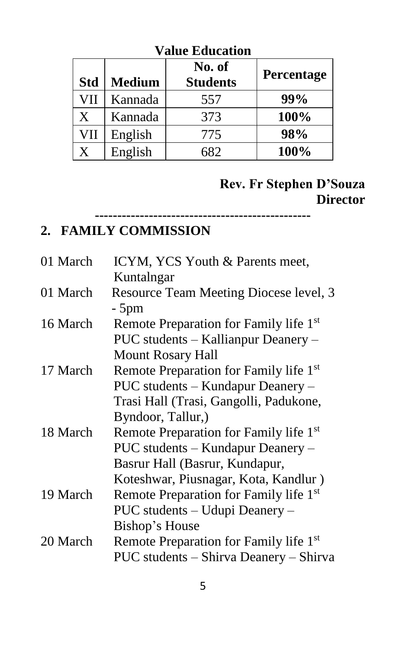| <b>Std</b> | <b>Medium</b> | No. of<br><b>Students</b> | Percentage |
|------------|---------------|---------------------------|------------|
| VII        | Kannada       | 557                       | 99%        |
| X          | Kannada       | 373                       | 100%       |
| VII        | English       | 775                       | 98%        |
| X          | English       | 682                       | 100%       |

**------------------------------------------------**

## **Value Education**

# **Rev. Fr Stephen D'Souza Director**

## **2. FAMILY COMMISSION**

| 01 March | ICYM, YCS Youth & Parents meet,                    |
|----------|----------------------------------------------------|
|          | Kuntalngar                                         |
| 01 March | Resource Team Meeting Diocese level, 3             |
|          | - 5pm                                              |
| 16 March | Remote Preparation for Family life 1 <sup>st</sup> |
|          | PUC students – Kallianpur Deanery –                |
|          | <b>Mount Rosary Hall</b>                           |
| 17 March | Remote Preparation for Family life 1 <sup>st</sup> |
|          | PUC students – Kundapur Deanery –                  |
|          | Trasi Hall (Trasi, Gangolli, Padukone,             |
|          | Byndoor, Tallur,)                                  |
| 18 March | Remote Preparation for Family life 1 <sup>st</sup> |
|          | PUC students – Kundapur Deanery –                  |
|          | Basrur Hall (Basrur, Kundapur,                     |
|          | Koteshwar, Piusnagar, Kota, Kandlur)               |
| 19 March | Remote Preparation for Family life 1 <sup>st</sup> |
|          | PUC students - Udupi Deanery -                     |
|          | Bishop's House                                     |
| 20 March | Remote Preparation for Family life 1 <sup>st</sup> |
|          | PUC students - Shirva Deanery - Shirva             |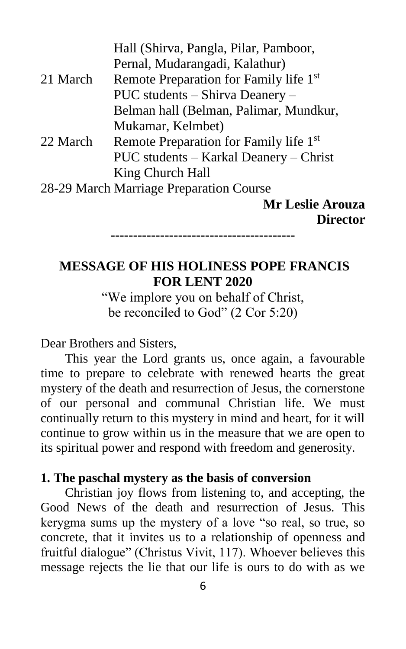|          | Hall (Shirva, Pangla, Pilar, Pamboor,              |
|----------|----------------------------------------------------|
|          | Pernal, Mudarangadi, Kalathur)                     |
| 21 March | Remote Preparation for Family life 1 <sup>st</sup> |
|          | PUC students – Shirva Deanery –                    |
|          | Belman hall (Belman, Palimar, Mundkur,             |
|          | Mukamar, Kelmbet)                                  |
| 22 March | Remote Preparation for Family life 1 <sup>st</sup> |
|          | PUC students – Karkal Deanery – Christ             |
|          | King Church Hall                                   |
|          | 28-29 March Marriage Preparation Course            |
|          | <b>Mr Leslie Arouza</b>                            |
|          | <b>Director</b>                                    |

-----------------------------------------

# **MESSAGE OF HIS HOLINESS POPE FRANCIS FOR LENT 2020**

"We implore you on behalf of Christ, be reconciled to God" (2 Cor 5:20)

#### Dear Brothers and Sisters,

This year the Lord grants us, once again, a favourable time to prepare to celebrate with renewed hearts the great mystery of the death and resurrection of Jesus, the cornerstone of our personal and communal Christian life. We must continually return to this mystery in mind and heart, for it will continue to grow within us in the measure that we are open to its spiritual power and respond with freedom and generosity.

#### **1. The paschal mystery as the basis of conversion**

Christian joy flows from listening to, and accepting, the Good News of the death and resurrection of Jesus. This kerygma sums up the mystery of a love "so real, so true, so concrete, that it invites us to a relationship of openness and fruitful dialogue" (Christus Vivit, 117). Whoever believes this message rejects the lie that our life is ours to do with as we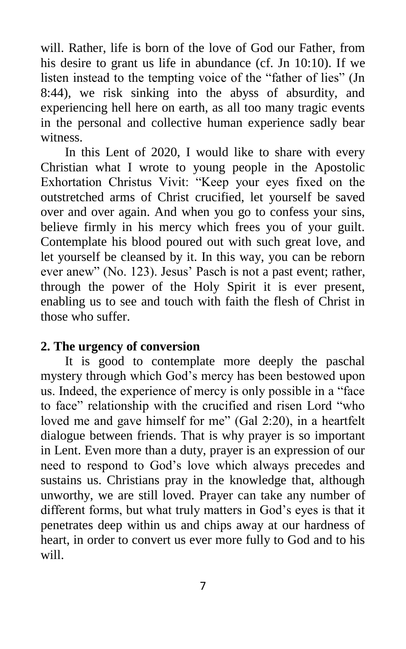will. Rather, life is born of the love of God our Father, from his desire to grant us life in abundance (cf. Jn 10:10). If we listen instead to the tempting voice of the "father of lies" (Jn 8:44), we risk sinking into the abyss of absurdity, and experiencing hell here on earth, as all too many tragic events in the personal and collective human experience sadly bear witness.

In this Lent of 2020, I would like to share with every Christian what I wrote to young people in the Apostolic Exhortation Christus Vivit: "Keep your eyes fixed on the outstretched arms of Christ crucified, let yourself be saved over and over again. And when you go to confess your sins, believe firmly in his mercy which frees you of your guilt. Contemplate his blood poured out with such great love, and let yourself be cleansed by it. In this way, you can be reborn ever anew" (No. 123). Jesus' Pasch is not a past event; rather, through the power of the Holy Spirit it is ever present, enabling us to see and touch with faith the flesh of Christ in those who suffer.

## **2. The urgency of conversion**

It is good to contemplate more deeply the paschal mystery through which God's mercy has been bestowed upon us. Indeed, the experience of mercy is only possible in a "face to face" relationship with the crucified and risen Lord "who loved me and gave himself for me" (Gal 2:20), in a heartfelt dialogue between friends. That is why prayer is so important in Lent. Even more than a duty, prayer is an expression of our need to respond to God's love which always precedes and sustains us. Christians pray in the knowledge that, although unworthy, we are still loved. Prayer can take any number of different forms, but what truly matters in God's eyes is that it penetrates deep within us and chips away at our hardness of heart, in order to convert us ever more fully to God and to his will.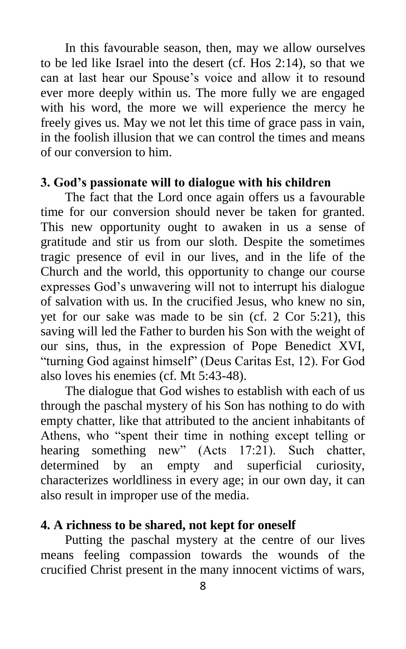In this favourable season, then, may we allow ourselves to be led like Israel into the desert (cf. Hos 2:14), so that we can at last hear our Spouse's voice and allow it to resound ever more deeply within us. The more fully we are engaged with his word, the more we will experience the mercy he freely gives us. May we not let this time of grace pass in vain, in the foolish illusion that we can control the times and means of our conversion to him.

### **3. God's passionate will to dialogue with his children**

The fact that the Lord once again offers us a favourable time for our conversion should never be taken for granted. This new opportunity ought to awaken in us a sense of gratitude and stir us from our sloth. Despite the sometimes tragic presence of evil in our lives, and in the life of the Church and the world, this opportunity to change our course expresses God's unwavering will not to interrupt his dialogue of salvation with us. In the crucified Jesus, who knew no sin, yet for our sake was made to be sin (cf. 2 Cor 5:21), this saving will led the Father to burden his Son with the weight of our sins, thus, in the expression of Pope Benedict XVI, "turning God against himself" (Deus Caritas Est, 12). For God also loves his enemies (cf. Mt 5:43-48).

The dialogue that God wishes to establish with each of us through the paschal mystery of his Son has nothing to do with empty chatter, like that attributed to the ancient inhabitants of Athens, who "spent their time in nothing except telling or hearing something new" (Acts 17:21). Such chatter, determined by an empty and superficial curiosity, characterizes worldliness in every age; in our own day, it can also result in improper use of the media.

### **4. A richness to be shared, not kept for oneself**

Putting the paschal mystery at the centre of our lives means feeling compassion towards the wounds of the crucified Christ present in the many innocent victims of wars,